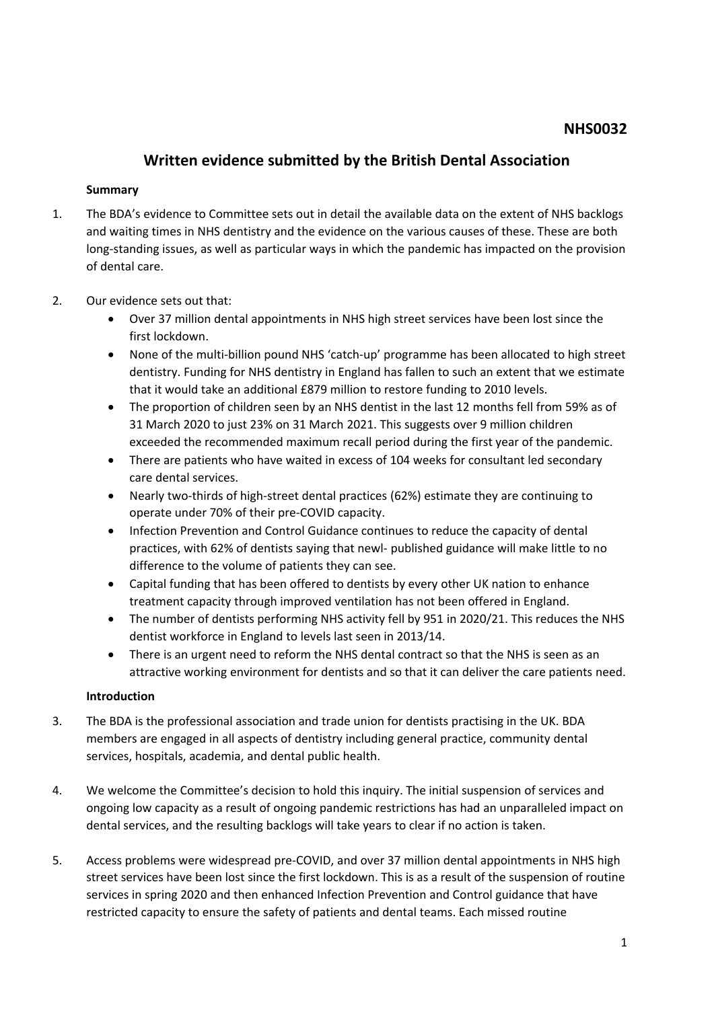## **Written evidence submitted by the British Dental Association**

### **Summary**

- 1. The BDA's evidence to Committee sets out in detail the available data on the extent of NHS backlogs and waiting times in NHS dentistry and the evidence on the various causes of these. These are both long-standing issues, as well as particular ways in which the pandemic has impacted on the provision of dental care.
- 2. Our evidence sets out that:
	- Over 37 million dental appointments in NHS high street services have been lost since the first lockdown.
	- None of the multi-billion pound NHS 'catch-up' programme has been allocated to high street dentistry. Funding for NHS dentistry in England has fallen to such an extent that we estimate that it would take an additional £879 million to restore funding to 2010 levels.
	- The proportion of children seen by an NHS dentist in the last 12 months fell from 59% as of 31 March 2020 to just 23% on 31 March 2021. This suggests over 9 million children exceeded the recommended maximum recall period during the first year of the pandemic.
	- There are patients who have waited in excess of 104 weeks for consultant led secondary care dental services.
	- Nearly two-thirds of high-street dental practices (62%) estimate they are continuing to operate under 70% of their pre-COVID capacity.
	- Infection Prevention and Control Guidance continues to reduce the capacity of dental practices, with 62% of dentists saying that newl- published guidance will make little to no difference to the volume of patients they can see.
	- Capital funding that has been offered to dentists by every other UK nation to enhance treatment capacity through improved ventilation has not been offered in England.
	- The number of dentists performing NHS activity fell by 951 in 2020/21. This reduces the NHS dentist workforce in England to levels last seen in 2013/14.
	- There is an urgent need to reform the NHS dental contract so that the NHS is seen as an attractive working environment for dentists and so that it can deliver the care patients need.

#### **Introduction**

- 3. The BDA is the professional association and trade union for dentists practising in the UK. BDA members are engaged in all aspects of dentistry including general practice, community dental services, hospitals, academia, and dental public health.
- 4. We welcome the Committee's decision to hold this inquiry. The initial suspension of services and ongoing low capacity as a result of ongoing pandemic restrictions has had an unparalleled impact on dental services, and the resulting backlogs will take years to clear if no action is taken.
- 5. Access problems were widespread pre-COVID, and over 37 million dental appointments in NHS high street services have been lost since the first lockdown. This is as a result of the suspension of routine services in spring 2020 and then enhanced Infection Prevention and Control guidance that have restricted capacity to ensure the safety of patients and dental teams. Each missed routine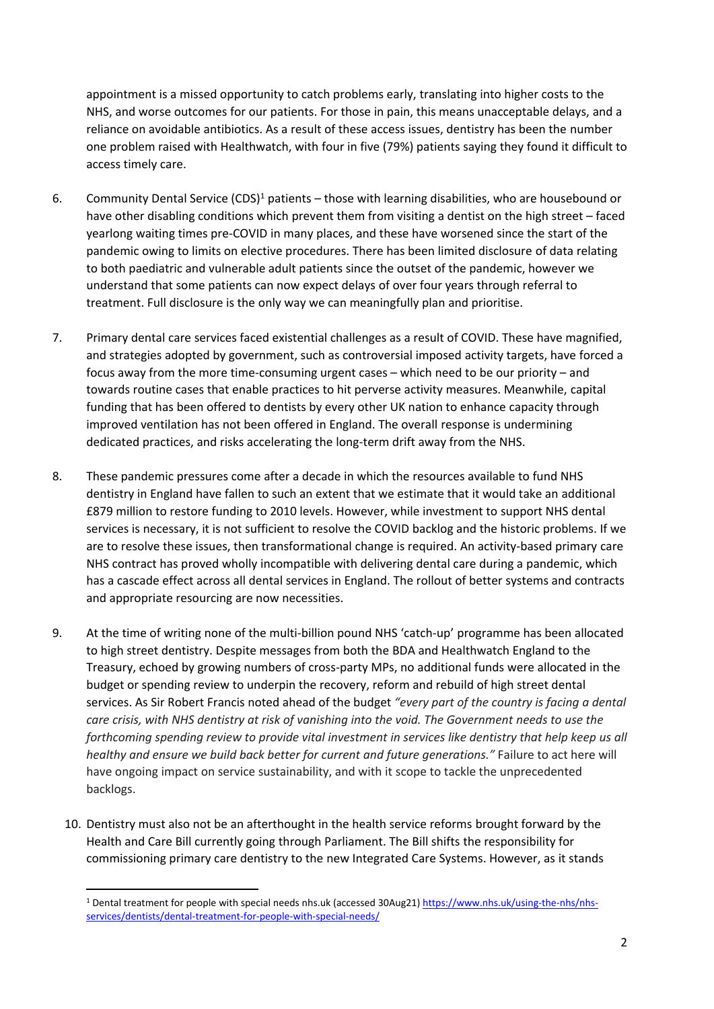appointment is a missed opportunity to catch problems early, translating into higher costs to the NHS, and worse outcomes for our patients. For those in pain, this means unacceptable delays, and a reliance on avoidable antibiotics. As a result of these access issues, dentistry has been the number one problem raised with Healthwatch, with four in five (79%) patients saying they found it difficult to access timely care.

- 6. Community Dental Service (CDS)<sup>1</sup> patients those with learning disabilities, who are housebound or have other disabling conditions which prevent them from visiting a dentist on the high street – faced yearlong waiting times pre-COVID in many places, and these have worsened since the start of the pandemic owing to limits on elective procedures. There has been limited disclosure of data relating to both paediatric and vulnerable adult patients since the outset of the pandemic, however we understand that some patients can now expect delays of over four years through referral to treatment. Full disclosure is the only way we can meaningfully plan and prioritise.
- 7. Primary dental care services faced existential challenges as a result of COVID. These have magnified, and strategies adopted by government, such as controversial imposed activity targets, have forced a focus away from the more time-consuming urgent cases – which need to be our priority – and towards routine cases that enable practices to hit perverse activity measures. Meanwhile, capital funding that has been offered to dentists by every other UK nation to enhance capacity through improved ventilation has not been offered in England. The overall response is undermining dedicated practices, and risks accelerating the long-term drift away from the NHS.
- 8. These pandemic pressures come after a decade in which the resources available to fund NHS dentistry in England have fallen to such an extent that we estimate that it would take an additional £879 million to restore funding to 2010 levels. However, while investment to support NHS dental services is necessary, it is not sufficient to resolve the COVID backlog and the historic problems. If we are to resolve these issues, then transformational change is required. An activity-based primary care NHS contract has proved wholly incompatible with delivering dental care during a pandemic, which has a cascade effect across all dental services in England. The rollout of better systems and contracts and appropriate resourcing are now necessities.
- 9. At the time of writing none of the multi-billion pound NHS 'catch-up' programme has been allocated to high street dentistry. Despite messages from both the BDA and Healthwatch England to the Treasury, echoed by growing numbers of cross-party MPs, no additional funds were allocated in the budget or spending review to underpin the recovery, reform and rebuild of high street dental services. As Sir Robert Francis noted ahead of the budget *"every part of the country is facing a dental* care crisis, with NHS dentistry at risk of vanishing into the void. The Government needs to use the *forthcoming spending review to provide vital investment in services like dentistry that help keep us all healthy and ensure we build back better for current and future generations."* Failure to act here will have ongoing impact on service sustainability, and with it scope to tackle the unprecedented backlogs.
	- 10. Dentistry must also not be an afterthought in the health service reforms brought forward by the Health and Care Bill currently going through Parliament. The Bill shifts the responsibility for commissioning primary care dentistry to the new Integrated Care Systems. However, as it stands

<sup>&</sup>lt;sup>1</sup> Dental treatment for people with special needs nhs.uk (accessed 30Aug21) [https://www.nhs.uk/using-the-nhs/nhs](https://www.nhs.uk/using-the-nhs/nhs-services/dentists/dental-treatment-for-people-with-special-needs/)[services/dentists/dental-treatment-for-people-with-special-needs/](https://www.nhs.uk/using-the-nhs/nhs-services/dentists/dental-treatment-for-people-with-special-needs/)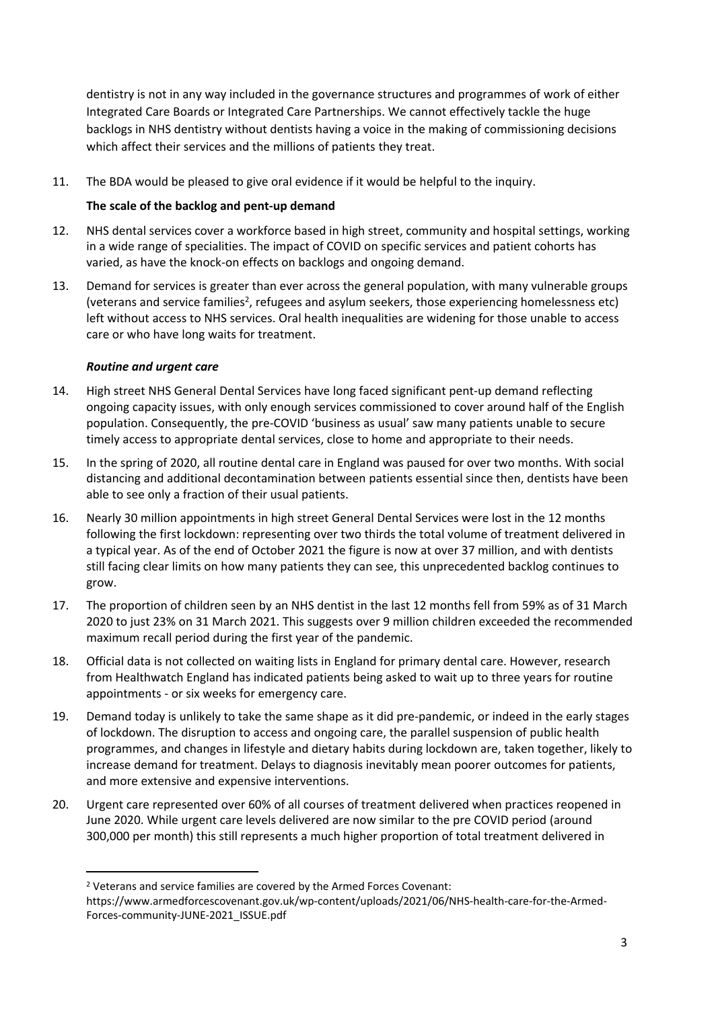dentistry is not in any way included in the governance structures and programmes of work of either Integrated Care Boards or Integrated Care Partnerships. We cannot effectively tackle the huge backlogs in NHS dentistry without dentists having a voice in the making of commissioning decisions which affect their services and the millions of patients they treat.

11. The BDA would be pleased to give oral evidence if it would be helpful to the inquiry.

## **The scale of the backlog and pent-up demand**

- 12. NHS dental services cover a workforce based in high street, community and hospital settings, working in a wide range of specialities. The impact of COVID on specific services and patient cohorts has varied, as have the knock-on effects on backlogs and ongoing demand.
- 13. Demand for services is greater than ever across the general population, with many vulnerable groups (veterans and service families<sup>2</sup>, refugees and asylum seekers, those experiencing homelessness etc) left without access to NHS services. Oral health inequalities are widening for those unable to access care or who have long waits for treatment.

## *Routine and urgent care*

- 14. High street NHS General Dental Services have long faced significant pent-up demand reflecting ongoing capacity issues, with only enough services commissioned to cover around half of the English population. Consequently, the pre-COVID 'business as usual' saw many patients unable to secure timely access to appropriate dental services, close to home and appropriate to their needs.
- 15. In the spring of 2020, all routine dental care in England was paused for over two months. With social distancing and additional decontamination between patients essential since then, dentists have been able to see only a fraction of their usual patients.
- 16. Nearly 30 million appointments in high street General Dental Services were lost in the 12 months following the first lockdown: representing over two thirds the total volume of treatment delivered in a typical year. As of the end of October 2021 the figure is now at over 37 million, and with dentists still facing clear limits on how many patients they can see, this unprecedented backlog continues to grow.
- 17. The proportion of children seen by an NHS dentist in the last 12 months fell from 59% as of 31 March 2020 to just 23% on 31 March 2021. This suggests over 9 million children exceeded the recommended maximum recall period during the first year of the pandemic.
- 18. Official data is not collected on waiting lists in England for primary dental care. However, research from Healthwatch England has indicated patients being asked to wait up to three years for routine appointments - or six weeks for emergency care.
- 19. Demand today is unlikely to take the same shape as it did pre-pandemic, or indeed in the early stages of lockdown. The disruption to access and ongoing care, the parallel suspension of public health programmes, and changes in lifestyle and dietary habits during lockdown are, taken together, likely to increase demand for treatment. Delays to diagnosis inevitably mean poorer outcomes for patients, and more extensive and expensive interventions.
- 20. Urgent care represented over 60% of all courses of treatment delivered when practices reopened in June 2020. While urgent care levels delivered are now similar to the pre COVID period (around 300,000 per month) this still represents a much higher proportion of total treatment delivered in

<sup>2</sup> Veterans and service families are covered by the Armed Forces Covenant:

https://www.armedforcescovenant.gov.uk/wp-content/uploads/2021/06/NHS-health-care-for-the-Armed-Forces-community-JUNE-2021\_ISSUE.pdf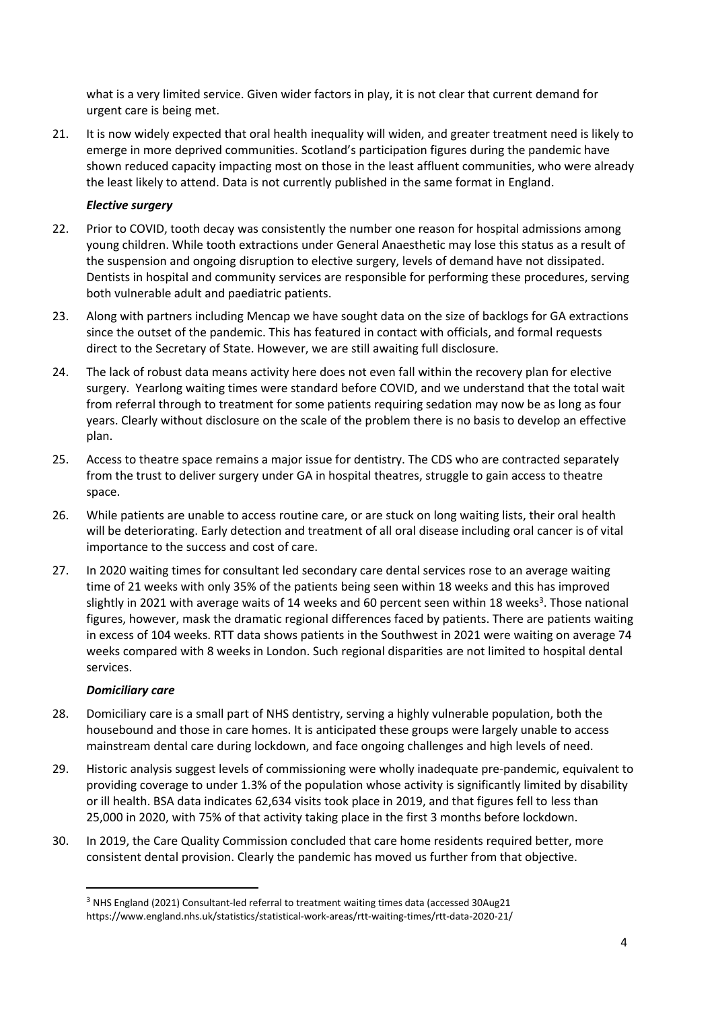what is a very limited service. Given wider factors in play, it is not clear that current demand for urgent care is being met.

21. It is now widely expected that oral health inequality will widen, and greater treatment need is likely to emerge in more deprived communities. Scotland's participation figures during the pandemic have shown reduced capacity impacting most on those in the least affluent communities, who were already the least likely to attend. Data is not currently published in the same format in England.

## *Elective surgery*

- 22. Prior to COVID, tooth decay was consistently the number one reason for hospital admissions among young children. While tooth extractions under General Anaesthetic may lose this status as a result of the suspension and ongoing disruption to elective surgery, levels of demand have not dissipated. Dentists in hospital and community services are responsible for performing these procedures, serving both vulnerable adult and paediatric patients.
- 23. Along with partners including Mencap we have sought data on the size of backlogs for GA extractions since the outset of the pandemic. This has featured in contact with officials, and formal requests direct to the Secretary of State. However, we are still awaiting full disclosure.
- 24. The lack of robust data means activity here does not even fall within the recovery plan for elective surgery. Yearlong waiting times were standard before COVID, and we understand that the total wait from referral through to treatment for some patients requiring sedation may now be as long as four years. Clearly without disclosure on the scale of the problem there is no basis to develop an effective plan.
- 25. Access to theatre space remains a major issue for dentistry. The CDS who are contracted separately from the trust to deliver surgery under GA in hospital theatres, struggle to gain access to theatre space.
- 26. While patients are unable to access routine care, or are stuck on long waiting lists, their oral health will be deteriorating. Early detection and treatment of all oral disease including oral cancer is of vital importance to the success and cost of care.
- 27. In 2020 waiting times for consultant led secondary care dental services rose to an average waiting time of 21 weeks with only 35% of the patients being seen within 18 weeks and this has improved slightly in 2021 with average waits of 14 weeks and 60 percent seen within 18 weeks<sup>3</sup>. Those national figures, however, mask the dramatic regional differences faced by patients. There are patients waiting in excess of 104 weeks. RTT data shows patients in the Southwest in 2021 were waiting on average 74 weeks compared with 8 weeks in London. Such regional disparities are not limited to hospital dental services.

#### *Domiciliary care*

- 28. Domiciliary care is a small part of NHS dentistry, serving a highly vulnerable population, both the housebound and those in care homes. It is anticipated these groups were largely unable to access mainstream dental care during lockdown, and face ongoing challenges and high levels of need.
- 29. Historic analysis suggest levels of commissioning were wholly inadequate pre-pandemic, equivalent to providing coverage to under 1.3% of the population whose activity is significantly limited by disability or ill health. BSA data indicates 62,634 visits took place in 2019, and that figures fell to less than 25,000 in 2020, with 75% of that activity taking place in the first 3 months before lockdown.
- 30. In 2019, the Care Quality Commission concluded that care home residents required better, more consistent dental provision. Clearly the pandemic has moved us further from that objective.

<sup>3</sup> NHS England (2021) Consultant-led referral to treatment waiting times data (accessed 30Aug21 https://www.england.nhs.uk/statistics/statistical-work-areas/rtt-waiting-times/rtt-data-2020-21/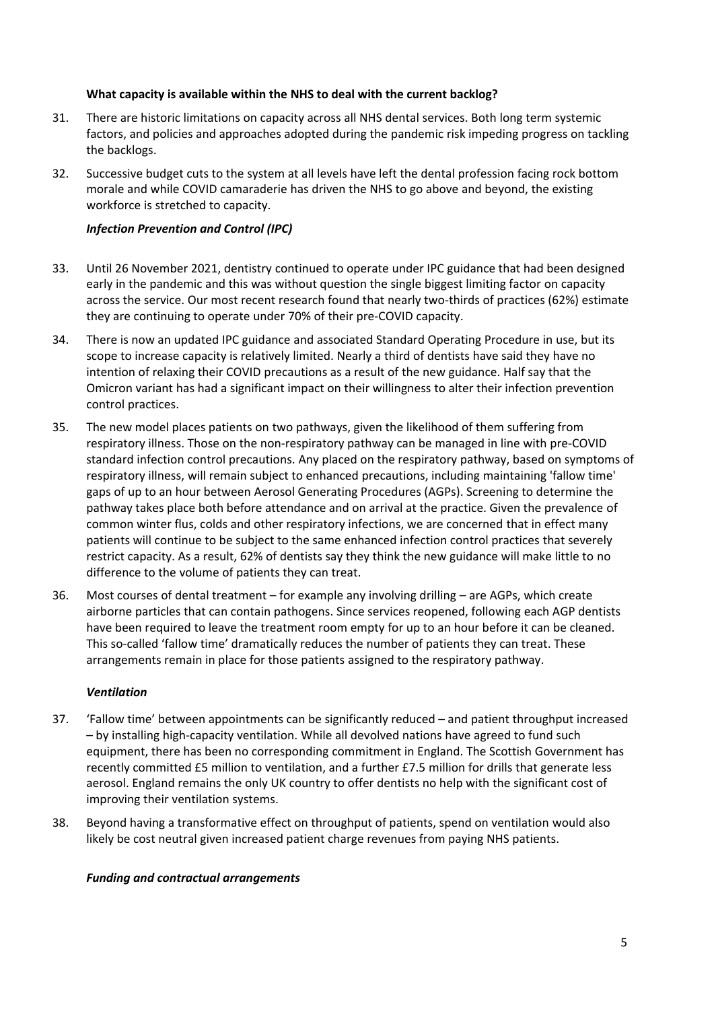## **What capacity is available within the NHS to deal with the current backlog?**

- 31. There are historic limitations on capacity across all NHS dental services. Both long term systemic factors, and policies and approaches adopted during the pandemic risk impeding progress on tackling the backlogs.
- 32. Successive budget cuts to the system at all levels have left the dental profession facing rock bottom morale and while COVID camaraderie has driven the NHS to go above and beyond, the existing workforce is stretched to capacity.

## *Infection Prevention and Control (IPC)*

- 33. Until 26 November 2021, dentistry continued to operate under IPC guidance that had been designed early in the pandemic and this was without question the single biggest limiting factor on capacity across the service. Our most recent research found that nearly two-thirds of practices (62%) estimate they are continuing to operate under 70% of their pre-COVID capacity.
- 34. There is now an updated IPC guidance and associated Standard Operating Procedure in use, but its scope to increase capacity is relatively limited. Nearly a third of dentists have said they have no intention of relaxing their COVID precautions as a result of the new guidance. Half say that the Omicron variant has had a significant impact on their willingness to alter their infection prevention control practices.
- 35. The new model places patients on two pathways, given the likelihood of them suffering from respiratory illness. Those on the non-respiratory pathway can be managed in line with pre-COVID standard infection control precautions. Any placed on the respiratory pathway, based on symptoms of respiratory illness, will remain subject to enhanced precautions, including maintaining 'fallow time' gaps of up to an hour between Aerosol Generating Procedures (AGPs). Screening to determine the pathway takes place both before attendance and on arrival at the practice. Given the prevalence of common winter flus, colds and other respiratory infections, we are concerned that in effect many patients will continue to be subject to the same enhanced infection control practices that severely restrict capacity. As a result, 62% of dentists say they think the new guidance will make little to no difference to the volume of patients they can treat.
- 36. Most courses of dental treatment for example any involving drilling are AGPs, which create airborne particles that can contain pathogens. Since services reopened, following each AGP dentists have been required to leave the treatment room empty for up to an hour before it can be cleaned. This so-called 'fallow time' dramatically reduces the number of patients they can treat. These arrangements remain in place for those patients assigned to the respiratory pathway.

#### *Ventilation*

- 37. 'Fallow time' between appointments can be significantly reduced and patient throughput increased – by installing high-capacity ventilation. While all devolved nations have agreed to fund such equipment, there has been no corresponding commitment in England. The Scottish Government has recently committed £5 million to ventilation, and a further £7.5 million for drills that generate less aerosol. England remains the only UK country to offer dentists no help with the significant cost of improving their ventilation systems.
- 38. Beyond having a transformative effect on throughput of patients, spend on ventilation would also likely be cost neutral given increased patient charge revenues from paying NHS patients.

#### *Funding and contractual arrangements*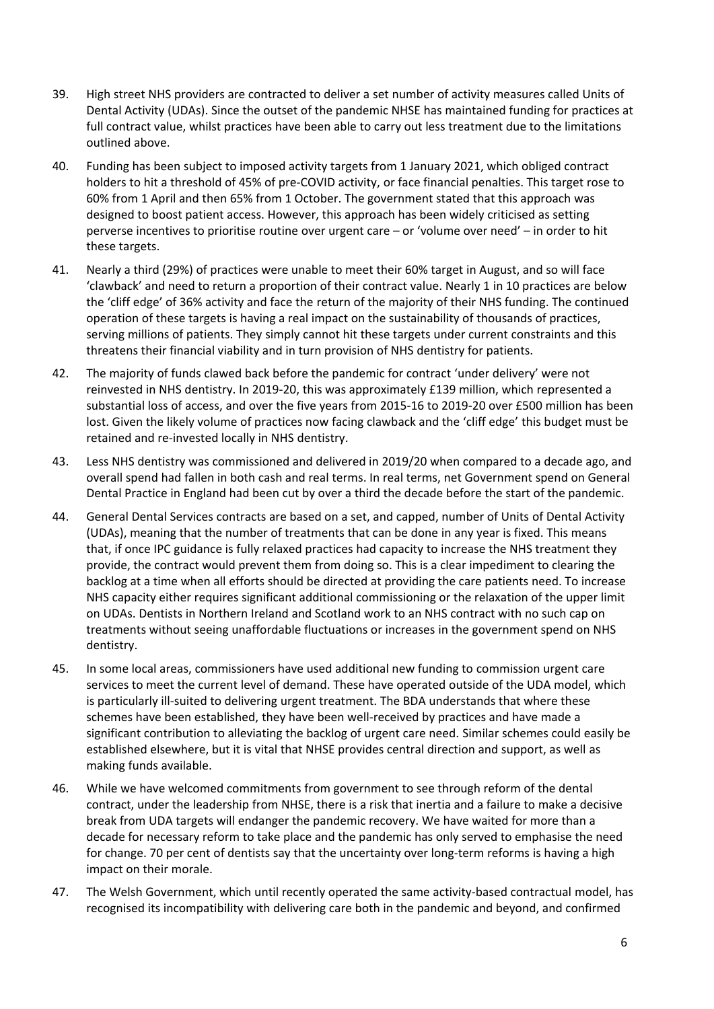- 39. High street NHS providers are contracted to deliver a set number of activity measures called Units of Dental Activity (UDAs). Since the outset of the pandemic NHSE has maintained funding for practices at full contract value, whilst practices have been able to carry out less treatment due to the limitations outlined above.
- 40. Funding has been subject to imposed activity targets from 1 January 2021, which obliged contract holders to hit a threshold of 45% of pre-COVID activity, or face financial penalties. This target rose to 60% from 1 April and then 65% from 1 October. The government stated that this approach was designed to boost patient access. However, this approach has been widely criticised as setting perverse incentives to prioritise routine over urgent care – or 'volume over need' – in order to hit these targets.
- 41. Nearly a third (29%) of practices were unable to meet their 60% target in August, and so will face 'clawback' and need to return a proportion of their contract value. Nearly 1 in 10 practices are below the 'cliff edge' of 36% activity and face the return of the majority of their NHS funding. The continued operation of these targets is having a real impact on the sustainability of thousands of practices, serving millions of patients. They simply cannot hit these targets under current constraints and this threatens their financial viability and in turn provision of NHS dentistry for patients.
- 42. The majority of funds clawed back before the pandemic for contract 'under delivery' were not reinvested in NHS dentistry. In 2019-20, this was approximately £139 million, which represented a substantial loss of access, and over the five years from 2015-16 to 2019-20 over £500 million has been lost. Given the likely volume of practices now facing clawback and the 'cliff edge' this budget must be retained and re-invested locally in NHS dentistry.
- 43. Less NHS dentistry was commissioned and delivered in 2019/20 when compared to a decade ago, and overall spend had fallen in both cash and real terms. In real terms, net Government spend on General Dental Practice in England had been cut by over a third the decade before the start of the pandemic.
- 44. General Dental Services contracts are based on a set, and capped, number of Units of Dental Activity (UDAs), meaning that the number of treatments that can be done in any year is fixed. This means that, if once IPC guidance is fully relaxed practices had capacity to increase the NHS treatment they provide, the contract would prevent them from doing so. This is a clear impediment to clearing the backlog at a time when all efforts should be directed at providing the care patients need. To increase NHS capacity either requires significant additional commissioning or the relaxation of the upper limit on UDAs. Dentists in Northern Ireland and Scotland work to an NHS contract with no such cap on treatments without seeing unaffordable fluctuations or increases in the government spend on NHS dentistry.
- 45. In some local areas, commissioners have used additional new funding to commission urgent care services to meet the current level of demand. These have operated outside of the UDA model, which is particularly ill-suited to delivering urgent treatment. The BDA understands that where these schemes have been established, they have been well-received by practices and have made a significant contribution to alleviating the backlog of urgent care need. Similar schemes could easily be established elsewhere, but it is vital that NHSE provides central direction and support, as well as making funds available.
- 46. While we have welcomed commitments from government to see through reform of the dental contract, under the leadership from NHSE, there is a risk that inertia and a failure to make a decisive break from UDA targets will endanger the pandemic recovery. We have waited for more than a decade for necessary reform to take place and the pandemic has only served to emphasise the need for change. 70 per cent of dentists say that the uncertainty over long-term reforms is having a high impact on their morale.
- 47. The Welsh Government, which until recently operated the same activity-based contractual model, has recognised its incompatibility with delivering care both in the pandemic and beyond, and confirmed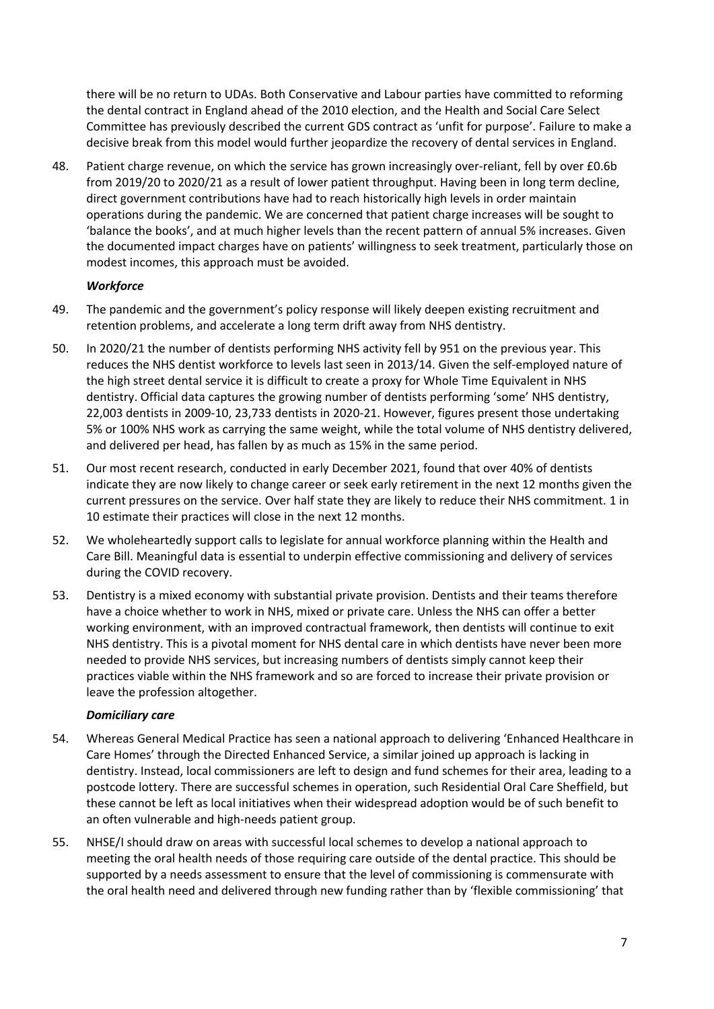there will be no return to UDAs. Both Conservative and Labour parties have committed to reforming the dental contract in England ahead of the 2010 election, and the Health and Social Care Select Committee has previously described the current GDS contract as 'unfit for purpose'. Failure to make a decisive break from this model would further jeopardize the recovery of dental services in England.

48. Patient charge revenue, on which the service has grown increasingly over-reliant, fell by over £0.6b from 2019/20 to 2020/21 as a result of lower patient throughput. Having been in long term decline, direct government contributions have had to reach historically high levels in order maintain operations during the pandemic. We are concerned that patient charge increases will be sought to 'balance the books', and at much higher levels than the recent pattern of annual 5% increases. Given the documented impact charges have on patients' willingness to seek treatment, particularly those on modest incomes, this approach must be avoided.

## *Workforce*

- 49. The pandemic and the government's policy response will likely deepen existing recruitment and retention problems, and accelerate a long term drift away from NHS dentistry.
- 50. In 2020/21 the number of dentists performing NHS activity fell by 951 on the previous year. This reduces the NHS dentist workforce to levels last seen in 2013/14. Given the self-employed nature of the high street dental service it is difficult to create a proxy for Whole Time Equivalent in NHS dentistry. Official data captures the growing number of dentists performing 'some' NHS dentistry, 22,003 dentists in 2009-10, 23,733 dentists in 2020-21. However, figures present those undertaking 5% or 100% NHS work as carrying the same weight, while the total volume of NHS dentistry delivered, and delivered per head, has fallen by as much as 15% in the same period.
- 51. Our most recent research, conducted in early December 2021, found that over 40% of dentists indicate they are now likely to change career or seek early retirement in the next 12 months given the current pressures on the service. Over half state they are likely to reduce their NHS commitment. 1 in 10 estimate their practices will close in the next 12 months.
- 52. We wholeheartedly support calls to legislate for annual workforce planning within the Health and Care Bill. Meaningful data is essential to underpin effective commissioning and delivery of services during the COVID recovery.
- 53. Dentistry is a mixed economy with substantial private provision. Dentists and their teams therefore have a choice whether to work in NHS, mixed or private care. Unless the NHS can offer a better working environment, with an improved contractual framework, then dentists will continue to exit NHS dentistry. This is a pivotal moment for NHS dental care in which dentists have never been more needed to provide NHS services, but increasing numbers of dentists simply cannot keep their practices viable within the NHS framework and so are forced to increase their private provision or leave the profession altogether.

## *Domiciliary care*

- 54. Whereas General Medical Practice has seen a national approach to delivering 'Enhanced Healthcare in Care Homes' through the Directed Enhanced Service, a similar joined up approach is lacking in dentistry. Instead, local commissioners are left to design and fund schemes for their area, leading to a postcode lottery. There are successful schemes in operation, such Residential Oral Care Sheffield, but these cannot be left as local initiatives when their widespread adoption would be of such benefit to an often vulnerable and high-needs patient group.
- 55. NHSE/I should draw on areas with successful local schemes to develop a national approach to meeting the oral health needs of those requiring care outside of the dental practice. This should be supported by a needs assessment to ensure that the level of commissioning is commensurate with the oral health need and delivered through new funding rather than by 'flexible commissioning' that